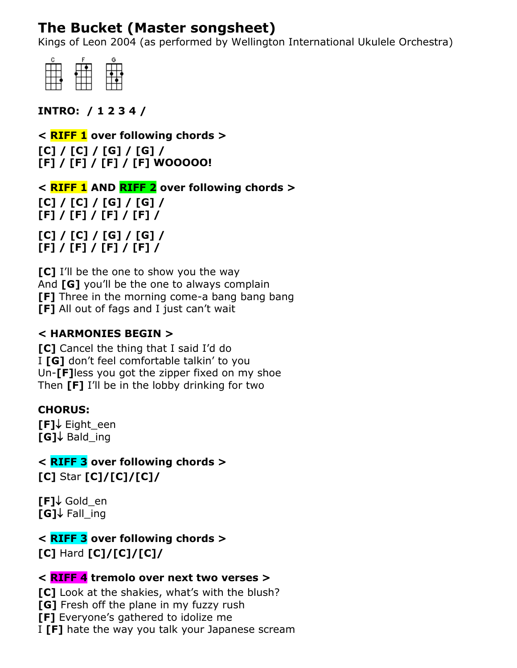# **The Bucket (Master songsheet)**

Kings of Leon 2004 (as performed by Wellington International Ukulele Orchestra)



**INTRO: / 1 2 3 4 /**

**< RIFF 1 over following chords > [C] / [C] / [G] / [G] / [F] / [F] / [F] / [F] WOOOOO!**

**< RIFF 1 AND RIFF 2 over following chords > [C] / [C] / [G] / [G] / [F] / [F] / [F] / [F] /**

**[C] / [C] / [G] / [G] / [F] / [F] / [F] / [F] /**

**[C]** I'll be the one to show you the way And **[G]** you'll be the one to always complain **[F]** Three in the morning come-a bang bang bang **[F]** All out of fags and I just can't wait

# **< HARMONIES BEGIN >**

**[C]** Cancel the thing that I said I'd do I **[G]** don't feel comfortable talkin' to you Un-**[F]**less you got the zipper fixed on my shoe Then **[F]** I'll be in the lobby drinking for two

## **CHORUS:**

**[F]** Eight een  $[G]$  Bald ing

**< RIFF 3 over following chords > [C]** Star **[C]/[C]/[C]/**

**[F]** Gold en **[G]** Fall\_ing

**< RIFF 3 over following chords > [C]** Hard **[C]/[C]/[C]/**

## **< RIFF 4 tremolo over next two verses >**

**[C]** Look at the shakies, what's with the blush? **[G]** Fresh off the plane in my fuzzy rush **[F]** Everyone's gathered to idolize me I **[F]** hate the way you talk your Japanese scream